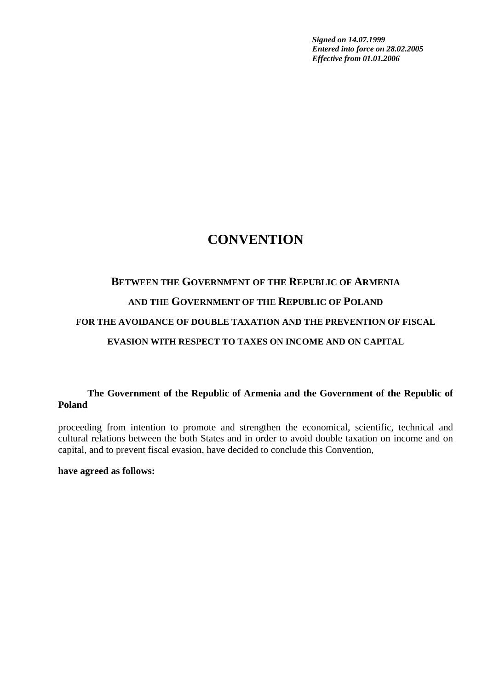*Signed on 14.07.1999 Entered into force on 28.02.2005 Effective from 01.01.2006*

# **CONVENTION**

# **BETWEEN THE GOVERNMENT OF THE REPUBLIC OF ARMENIA AND THE GOVERNMENT OF THE REPUBLIC OF POLAND FOR THE AVOIDANCE OF DOUBLE TAXATION AND THE PREVENTION OF FISCAL EVASION WITH RESPECT TO TAXES ON INCOME AND ON CAPITAL**

#### **The Government of the Republic of Armenia and the Government of the Republic of Poland**

proceeding from intention to promote and strengthen the economical, scientific, technical and cultural relations between the both States and in order to avoid double taxation on income and on capital, and to prevent fiscal evasion, have decided to conclude this Convention,

**have agreed as follows:**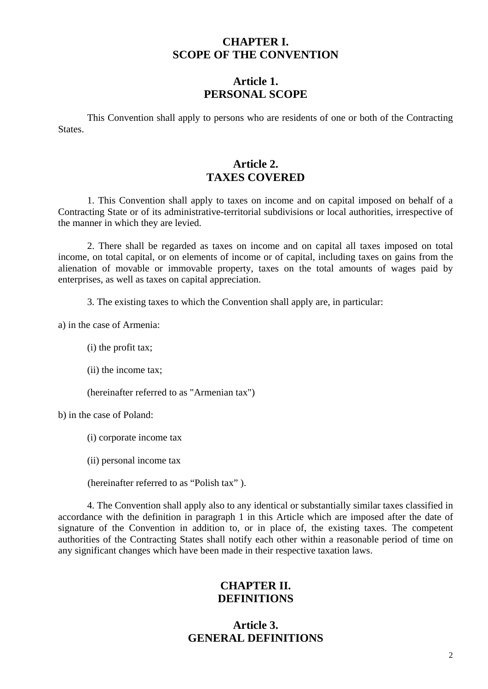# **CHAPTER I. SCOPE OF THE CONVENTION**

## **Article 1. PERSONAL SCOPE**

This Convention shall apply to persons who are residents of one or both of the Contracting States.

## **Article 2. TAXES COVERED**

1. This Convention shall apply to taxes on income and on capital imposed on behalf of a Contracting State or of its administrative-territorial subdivisions or local authorities, irrespective of the manner in which they are levied.

2. There shall be regarded as taxes on income and on capital all taxes imposed on total income, on total capital, or on elements of income or of capital, including taxes on gains from the alienation of movable or immovable property, taxes on the total amounts of wages paid by enterprises, as well as taxes on capital appreciation.

3. The existing taxes to which the Convention shall apply are, in particular:

a) in the case of Armenia:

(i) the profit tax;

(ii) the income tax;

(hereinafter referred to as "Armenian tax")

b) in the case of Poland:

(i) corporate income tax

(ii) personal income tax

(hereinafter referred to as "Polish tax" ).

4. The Convention shall apply also to any identical or substantially similar taxes classified in accordance with the definition in paragraph 1 in this Article which are imposed after the date of signature of the Convention in addition to, or in place of, the existing taxes. The competent authorities of the Contracting States shall notify each other within a reasonable period of time on any significant changes which have been made in their respective taxation laws.

#### **CHAPTER II. DEFINITIONS**

## **Article 3. GENERAL DEFINITIONS**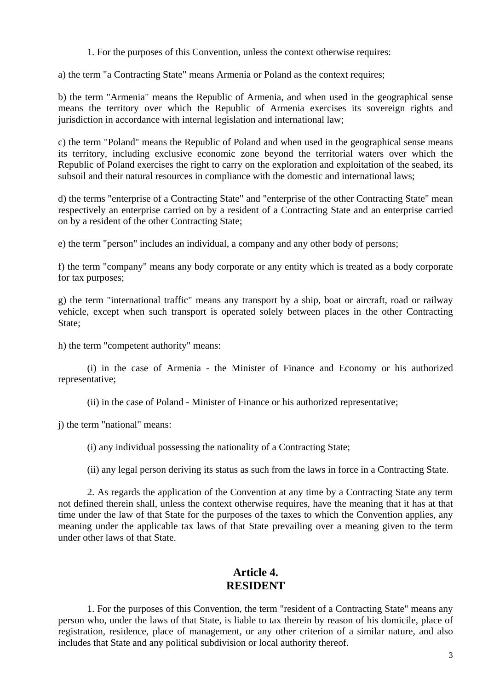1. For the purposes of this Convention, unless the context otherwise requires:

a) the term "a Contracting State" means Armenia or Poland as the context requires;

b) the term "Armenia" means the Republic of Armenia, and when used in the geographical sense means the territory over which the Republic of Armenia exercises its sovereign rights and jurisdiction in accordance with internal legislation and international law;

c) the term "Poland" means the Republic of Poland and when used in the geographical sense means its territory, including exclusive economic zone beyond the territorial waters over which the Republic of Poland exercises the right to carry on the exploration and exploitation of the seabed, its subsoil and their natural resources in compliance with the domestic and international laws;

d) the terms "enterprise of a Contracting State" and "enterprise of the other Contracting State" mean respectively an enterprise carried on by a resident of a Contracting State and an enterprise carried on by a resident of the other Contracting State;

e) the term "person" includes an individual, a company and any other body of persons;

f) the term "company" means any body corporate or any entity which is treated as a body corporate for tax purposes;

g) the term "international traffic" means any transport by a ship, boat or aircraft, road or railway vehicle, except when such transport is operated solely between places in the other Contracting State;

h) the term "competent authority" means:

(i) in the case of Armenia - the Minister of Finance and Economy or his authorized representative;

(ii) in the case of Poland - Minister of Finance or his authorized representative;

j) the term "national" means:

(i) any individual possessing the nationality of a Contracting State;

(ii) any legal person deriving its status as such from the laws in force in a Contracting State.

2. As regards the application of the Convention at any time by a Contracting State any term not defined therein shall, unless the context otherwise requires, have the meaning that it has at that time under the law of that State for the purposes of the taxes to which the Convention applies, any meaning under the applicable tax laws of that State prevailing over a meaning given to the term under other laws of that State.

#### **Article 4. RESIDENT**

1. For the purposes of this Convention, the term "resident of a Contracting State" means any person who, under the laws of that State, is liable to tax therein by reason of his domicile, place of registration, residence, place of management, or any other criterion of a similar nature, and also includes that State and any political subdivision or local authority thereof.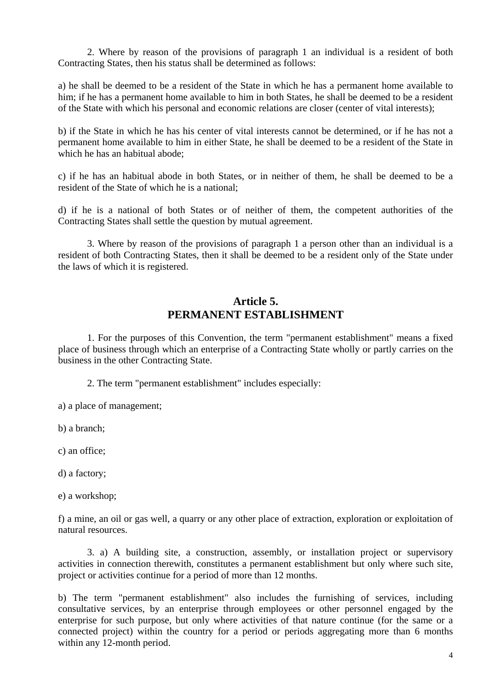2. Where by reason of the provisions of paragraph 1 an individual is a resident of both Contracting States, then his status shall be determined as follows:

a) he shall be deemed to be a resident of the State in which he has a permanent home available to him; if he has a permanent home available to him in both States, he shall be deemed to be a resident of the State with which his personal and economic relations are closer (center of vital interests);

b) if the State in which he has his center of vital interests cannot be determined, or if he has not a permanent home available to him in either State, he shall be deemed to be a resident of the State in which he has an habitual abode;

c) if he has an habitual abode in both States, or in neither of them, he shall be deemed to be a resident of the State of which he is a national;

d) if he is a national of both States or of neither of them, the competent authorities of the Contracting States shall settle the question by mutual agreement.

3. Where by reason of the provisions of paragraph 1 a person other than an individual is a resident of both Contracting States, then it shall be deemed to be a resident only of the State under the laws of which it is registered.

## **Article 5. PERMANENT ESTABLISHMENT**

1. For the purposes of this Convention, the term "permanent establishment" means a fixed place of business through which an enterprise of a Contracting State wholly or partly carries on the business in the other Contracting State.

2. The term "permanent establishment" includes especially:

a) a place of management;

b) a branch;

c) an office;

d) a factory;

e) a workshop;

f) a mine, an oil or gas well, a quarry or any other place of extraction, exploration or exploitation of natural resources.

3. a) A building site, a construction, assembly, or installation project or supervisory activities in connection therewith, constitutes a permanent establishment but only where such site, project or activities continue for a period of more than 12 months.

b) The term "permanent establishment" also includes the furnishing of services, including consultative services, by an enterprise through employees or other personnel engaged by the enterprise for such purpose, but only where activities of that nature continue (for the same or a connected project) within the country for a period or periods aggregating more than 6 months within any 12-month period.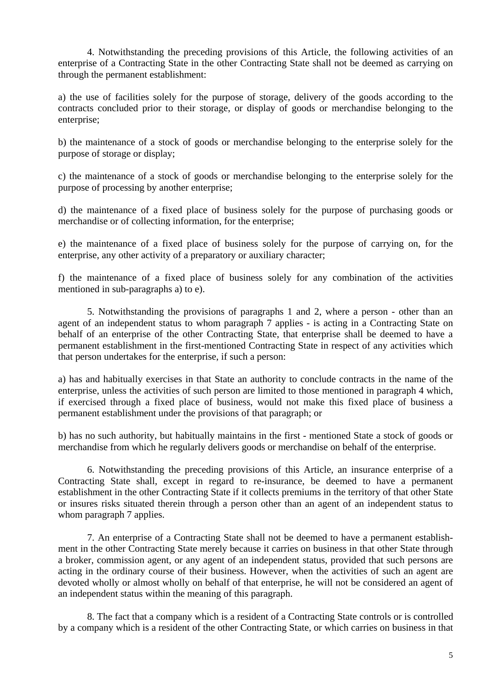4. Notwithstanding the preceding provisions of this Article, the following activities of an enterprise of a Contracting State in the other Contracting State shall not be deemed as carrying on through the permanent establishment:

a) the use of facilities solely for the purpose of storage, delivery of the goods according to the contracts concluded prior to their storage, or display of goods or merchandise belonging to the enterprise;

b) the maintenance of a stock of goods or merchandise belonging to the enterprise solely for the purpose of storage or display;

c) the maintenance of a stock of goods or merchandise belonging to the enterprise solely for the purpose of processing by another enterprise;

d) the maintenance of a fixed place of business solely for the purpose of purchasing goods or merchandise or of collecting information, for the enterprise;

e) the maintenance of a fixed place of business solely for the purpose of carrying on, for the enterprise, any other activity of a preparatory or auxiliary character;

f) the maintenance of a fixed place of business solely for any combination of the activities mentioned in sub-paragraphs a) to e).

5. Notwithstanding the provisions of paragraphs 1 and 2, where a person - other than an agent of an independent status to whom paragraph 7 applies - is acting in a Contracting State on behalf of an enterprise of the other Contracting State, that enterprise shall be deemed to have a permanent establishment in the first-mentioned Contracting State in respect of any activities which that person undertakes for the enterprise, if such a person:

a) has and habitually exercises in that State an authority to conclude contracts in the name of the enterprise, unless the activities of such person are limited to those mentioned in paragraph 4 which, if exercised through a fixed place of business, would not make this fixed place of business a permanent establishment under the provisions of that paragraph; or

b) has no such authority, but habitually maintains in the first - mentioned State a stock of goods or merchandise from which he regularly delivers goods or merchandise on behalf of the enterprise.

6. Notwithstanding the preceding provisions of this Article, an insurance enterprise of a Contracting State shall, except in regard to re-insurance, be deemed to have a permanent establishment in the other Contracting State if it collects premiums in the territory of that other State or insures risks situated therein through a person other than an agent of an independent status to whom paragraph 7 applies.

7. An enterprise of a Contracting State shall not be deemed to have a permanent establishment in the other Contracting State merely because it carries on business in that other State through a broker, commission agent, or any agent of an independent status, provided that such persons are acting in the ordinary course of their business. However, when the activities of such an agent are devoted wholly or almost wholly on behalf of that enterprise, he will not be considered an agent of an independent status within the meaning of this paragraph.

8. The fact that a company which is a resident of a Contracting State controls or is controlled by a company which is a resident of the other Contracting State, or which carries on business in that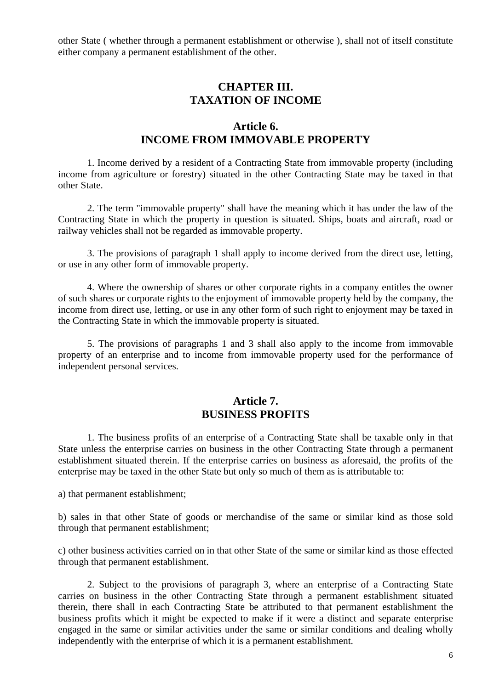other State ( whether through a permanent establishment or otherwise ), shall not of itself constitute either company a permanent establishment of the other.

## **CHAPTER III. TAXATION OF INCOME**

## **Article 6. INCOME FROM IMMOVABLE PROPERTY**

1. Income derived by a resident of a Contracting State from immovable property (including income from agriculture or forestry) situated in the other Contracting State may be taxed in that other State.

2. The term "immovable property" shall have the meaning which it has under the law of the Contracting State in which the property in question is situated. Ships, boats and aircraft, road or railway vehicles shall not be regarded as immovable property.

3. The provisions of paragraph 1 shall apply to income derived from the direct use, letting, or use in any other form of immovable property.

4. Where the ownership of shares or other corporate rights in a company entitles the owner of such shares or corporate rights to the enjoyment of immovable property held by the company, the income from direct use, letting, or use in any other form of such right to enjoyment may be taxed in the Contracting State in which the immovable property is situated.

5. The provisions of paragraphs 1 and 3 shall also apply to the income from immovable property of an enterprise and to income from immovable property used for the performance of independent personal services.

## **Article 7. BUSINESS PROFITS**

1. The business profits of an enterprise of a Contracting State shall be taxable only in that State unless the enterprise carries on business in the other Contracting State through a permanent establishment situated therein. If the enterprise carries on business as aforesaid, the profits of the enterprise may be taxed in the other State but only so much of them as is attributable to:

a) that permanent establishment;

b) sales in that other State of goods or merchandise of the same or similar kind as those sold through that permanent establishment;

c) other business activities carried on in that other State of the same or similar kind as those effected through that permanent establishment.

2. Subject to the provisions of paragraph 3, where an enterprise of a Contracting State carries on business in the other Contracting State through a permanent establishment situated therein, there shall in each Contracting State be attributed to that permanent establishment the business profits which it might be expected to make if it were a distinct and separate enterprise engaged in the same or similar activities under the same or similar conditions and dealing wholly independently with the enterprise of which it is a permanent establishment.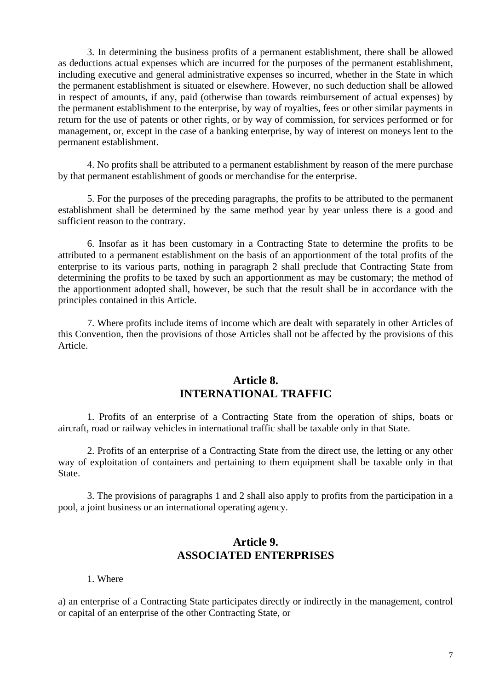3. In determining the business profits of a permanent establishment, there shall be allowed as deductions actual expenses which are incurred for the purposes of the permanent establishment, including executive and general administrative expenses so incurred, whether in the State in which the permanent establishment is situated or elsewhere. However, no such deduction shall be allowed in respect of amounts, if any, paid (otherwise than towards reimbursement of actual expenses) by the permanent establishment to the enterprise, by way of royalties, fees or other similar payments in return for the use of patents or other rights, or by way of commission, for services performed or for management, or, except in the case of a banking enterprise, by way of interest on moneys lent to the permanent establishment.

4. No profits shall be attributed to a permanent establishment by reason of the mere purchase by that permanent establishment of goods or merchandise for the enterprise.

5. For the purposes of the preceding paragraphs, the profits to be attributed to the permanent establishment shall be determined by the same method year by year unless there is a good and sufficient reason to the contrary.

6. Insofar as it has been customary in a Contracting State to determine the profits to be attributed to a permanent establishment on the basis of an apportionment of the total profits of the enterprise to its various parts, nothing in paragraph 2 shall preclude that Contracting State from determining the profits to be taxed by such an apportionment as may be customary; the method of the apportionment adopted shall, however, be such that the result shall be in accordance with the principles contained in this Article.

7. Where profits include items of income which are dealt with separately in other Articles of this Convention, then the provisions of those Articles shall not be affected by the provisions of this Article.

## **Article 8. INTERNATIONAL TRAFFIC**

1. Profits of an enterprise of a Contracting State from the operation of ships, boats or aircraft, road or railway vehicles in international traffic shall be taxable only in that State.

2. Profits of an enterprise of a Contracting State from the direct use, the letting or any other way of exploitation of containers and pertaining to them equipment shall be taxable only in that State.

3. The provisions of paragraphs 1 and 2 shall also apply to profits from the participation in a pool, a joint business or an international operating agency.

## **Article 9. ASSOCIATED ENTERPRISES**

#### 1. Where

a) an enterprise of a Contracting State participates directly or indirectly in the management, control or capital of an enterprise of the other Contracting State, or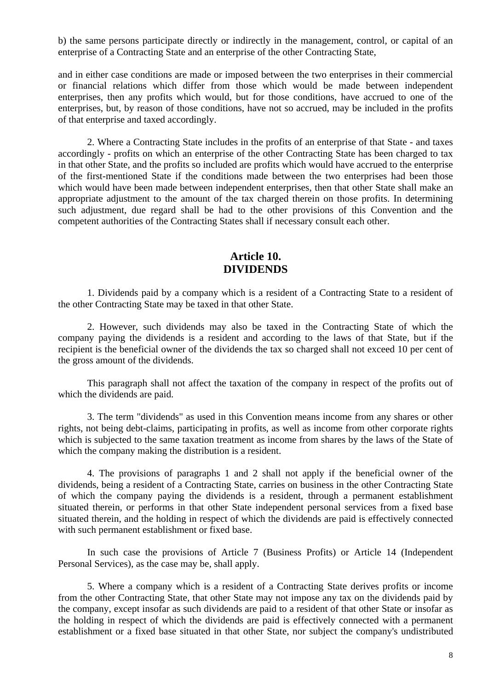b) the same persons participate directly or indirectly in the management, control, or capital of an enterprise of a Contracting State and an enterprise of the other Contracting State,

and in either case conditions are made or imposed between the two enterprises in their commercial or financial relations which differ from those which would be made between independent enterprises, then any profits which would, but for those conditions, have accrued to one of the enterprises, but, by reason of those conditions, have not so accrued, may be included in the profits of that enterprise and taxed accordingly.

2. Where a Contracting State includes in the profits of an enterprise of that State - and taxes accordingly - profits on which an enterprise of the other Contracting State has been charged to tax in that other State, and the profits so included are profits which would have accrued to the enterprise of the first-mentioned State if the conditions made between the two enterprises had been those which would have been made between independent enterprises, then that other State shall make an appropriate adjustment to the amount of the tax charged therein on those profits. In determining such adjustment, due regard shall be had to the other provisions of this Convention and the competent authorities of the Contracting States shall if necessary consult each other.

#### **Article 10. DIVIDENDS**

1. Dividends paid by a company which is a resident of a Contracting State to a resident of the other Contracting State may be taxed in that other State.

2. However, such dividends may also be taxed in the Contracting State of which the company paying the dividends is a resident and according to the laws of that State, but if the recipient is the beneficial owner of the dividends the tax so charged shall not exceed 10 per cent of the gross amount of the dividends.

This paragraph shall not affect the taxation of the company in respect of the profits out of which the dividends are paid.

3. The term "dividends" as used in this Convention means income from any shares or other rights, not being debt-claims, participating in profits, as well as income from other corporate rights which is subjected to the same taxation treatment as income from shares by the laws of the State of which the company making the distribution is a resident.

4. The provisions of paragraphs 1 and 2 shall not apply if the beneficial owner of the dividends, being a resident of a Contracting State, carries on business in the other Contracting State of which the company paying the dividends is a resident, through a permanent establishment situated therein, or performs in that other State independent personal services from a fixed base situated therein, and the holding in respect of which the dividends are paid is effectively connected with such permanent establishment or fixed base.

In such case the provisions of Article 7 (Business Profits) or Article 14 (Independent Personal Services), as the case may be, shall apply.

5. Where a company which is a resident of a Contracting State derives profits or income from the other Contracting State, that other State may not impose any tax on the dividends paid by the company, except insofar as such dividends are paid to a resident of that other State or insofar as the holding in respect of which the dividends are paid is effectively connected with a permanent establishment or a fixed base situated in that other State, nor subject the company's undistributed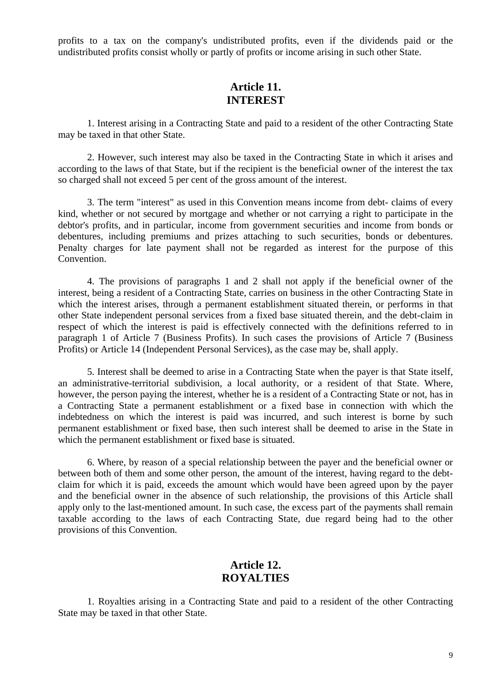profits to a tax on the company's undistributed profits, even if the dividends paid or the undistributed profits consist wholly or partly of profits or income arising in such other State.

## **Article 11. INTEREST**

1. Interest arising in a Contracting State and paid to a resident of the other Contracting State may be taxed in that other State.

2. However, such interest may also be taxed in the Contracting State in which it arises and according to the laws of that State, but if the recipient is the beneficial owner of the interest the tax so charged shall not exceed 5 per cent of the gross amount of the interest.

3. The term "interest" as used in this Convention means income from debt- claims of every kind, whether or not secured by mortgage and whether or not carrying a right to participate in the debtor's profits, and in particular, income from government securities and income from bonds or debentures, including premiums and prizes attaching to such securities, bonds or debentures. Penalty charges for late payment shall not be regarded as interest for the purpose of this Convention.

4. The provisions of paragraphs 1 and 2 shall not apply if the beneficial owner of the interest, being a resident of a Contracting State, carries on business in the other Contracting State in which the interest arises, through a permanent establishment situated therein, or performs in that other State independent personal services from a fixed base situated therein, and the debt-claim in respect of which the interest is paid is effectively connected with the definitions referred to in paragraph 1 of Article 7 (Business Profits). In such cases the provisions of Article 7 (Business Profits) or Article 14 (Independent Personal Services), as the case may be, shall apply.

5. Interest shall be deemed to arise in a Contracting State when the payer is that State itself, an administrative-territorial subdivision, a local authority, or a resident of that State. Where, however, the person paying the interest, whether he is a resident of a Contracting State or not, has in a Contracting State a permanent establishment or a fixed base in connection with which the indebtedness on which the interest is paid was incurred, and such interest is borne by such permanent establishment or fixed base, then such interest shall be deemed to arise in the State in which the permanent establishment or fixed base is situated.

6. Where, by reason of a special relationship between the payer and the beneficial owner or between both of them and some other person, the amount of the interest, having regard to the debtclaim for which it is paid, exceeds the amount which would have been agreed upon by the payer and the beneficial owner in the absence of such relationship, the provisions of this Article shall apply only to the last-mentioned amount. In such case, the excess part of the payments shall remain taxable according to the laws of each Contracting State, due regard being had to the other provisions of this Convention.

## **Article 12. ROYALTIES**

1. Royalties arising in a Contracting State and paid to a resident of the other Contracting State may be taxed in that other State.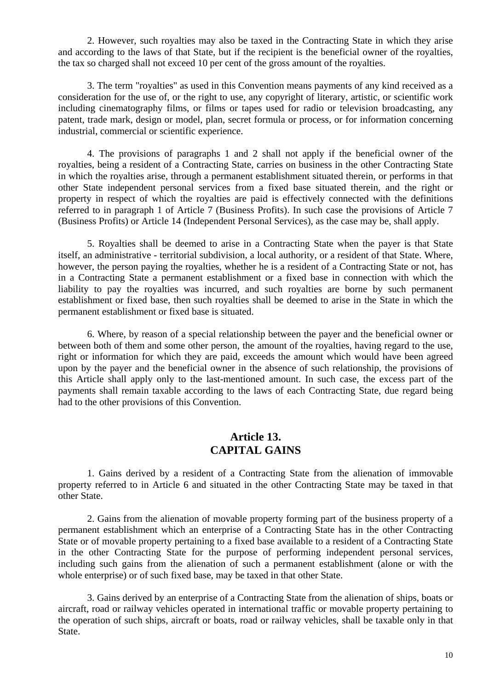2. However, such royalties may also be taxed in the Contracting State in which they arise and according to the laws of that State, but if the recipient is the beneficial owner of the royalties, the tax so charged shall not exceed 10 per cent of the gross amount of the royalties.

3. The term "royalties" as used in this Convention means payments of any kind received as a consideration for the use of, or the right to use, any copyright of literary, artistic, or scientific work including cinematography films, or films or tapes used for radio or television broadcasting, any patent, trade mark, design or model, plan, secret formula or process, or for information concerning industrial, commercial or scientific experience.

4. The provisions of paragraphs 1 and 2 shall not apply if the beneficial owner of the royalties, being a resident of a Contracting State, carries on business in the other Contracting State in which the royalties arise, through a permanent establishment situated therein, or performs in that other State independent personal services from a fixed base situated therein, and the right or property in respect of which the royalties are paid is effectively connected with the definitions referred to in paragraph 1 of Article 7 (Business Profits). In such case the provisions of Article 7 (Business Profits) or Article 14 (Independent Personal Services), as the case may be, shall apply.

5. Royalties shall be deemed to arise in a Contracting State when the payer is that State itself, an administrative - territorial subdivision, a local authority, or a resident of that State. Where, however, the person paying the royalties, whether he is a resident of a Contracting State or not, has in a Contracting State a permanent establishment or a fixed base in connection with which the liability to pay the royalties was incurred, and such royalties are borne by such permanent establishment or fixed base, then such royalties shall be deemed to arise in the State in which the permanent establishment or fixed base is situated.

6. Where, by reason of a special relationship between the payer and the beneficial owner or between both of them and some other person, the amount of the royalties, having regard to the use, right or information for which they are paid, exceeds the amount which would have been agreed upon by the payer and the beneficial owner in the absence of such relationship, the provisions of this Article shall apply only to the last-mentioned amount. In such case, the excess part of the payments shall remain taxable according to the laws of each Contracting State, due regard being had to the other provisions of this Convention.

## **Article 13. CAPITAL GAINS**

1. Gains derived by a resident of a Contracting State from the alienation of immovable property referred to in Article 6 and situated in the other Contracting State may be taxed in that other State.

2. Gains from the alienation of movable property forming part of the business property of a permanent establishment which an enterprise of a Contracting State has in the other Contracting State or of movable property pertaining to a fixed base available to a resident of a Contracting State in the other Contracting State for the purpose of performing independent personal services, including such gains from the alienation of such a permanent establishment (alone or with the whole enterprise) or of such fixed base, may be taxed in that other State.

3. Gains derived by an enterprise of a Contracting State from the alienation of ships, boats or aircraft, road or railway vehicles operated in international traffic or movable property pertaining to the operation of such ships, aircraft or boats, road or railway vehicles, shall be taxable only in that State.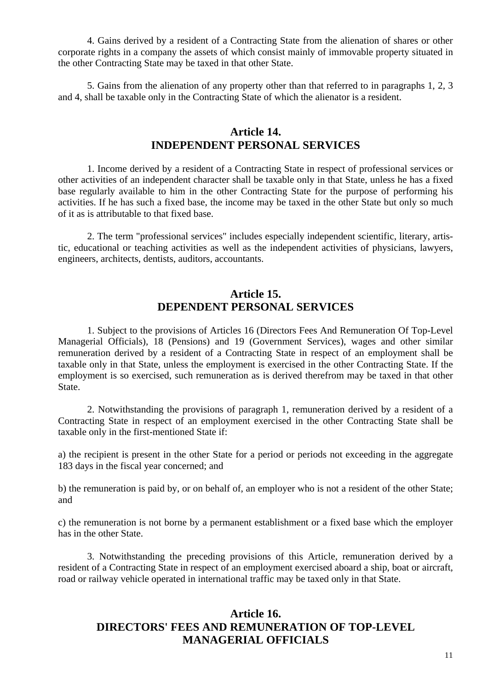4. Gains derived by a resident of a Contracting State from the alienation of shares or other corporate rights in a company the assets of which consist mainly of immovable property situated in the other Contracting State may be taxed in that other State.

5. Gains from the alienation of any property other than that referred to in paragraphs 1, 2, 3 and 4, shall be taxable only in the Contracting State of which the alienator is a resident.

#### **Article 14. INDEPENDENT PERSONAL SERVICES**

1. Income derived by a resident of a Contracting State in respect of professional services or other activities of an independent character shall be taxable only in that State, unless he has a fixed base regularly available to him in the other Contracting State for the purpose of performing his activities. If he has such a fixed base, the income may be taxed in the other State but only so much of it as is attributable to that fixed base.

2. The term "professional services" includes especially independent scientific, literary, artistic, educational or teaching activities as well as the independent activities of physicians, lawyers, engineers, architects, dentists, auditors, accountants.

## **Article 15. DEPENDENT PERSONAL SERVICES**

1. Subject to the provisions of Articles 16 (Directors Fees And Remuneration Of Top-Level Managerial Officials), 18 (Pensions) and 19 (Government Services), wages and other similar remuneration derived by a resident of a Contracting State in respect of an employment shall be taxable only in that State, unless the employment is exercised in the other Contracting State. If the employment is so exercised, such remuneration as is derived therefrom may be taxed in that other State.

2. Notwithstanding the provisions of paragraph 1, remuneration derived by a resident of a Contracting State in respect of an employment exercised in the other Contracting State shall be taxable only in the first-mentioned State if:

a) the recipient is present in the other State for a period or periods not exceeding in the aggregate 183 days in the fiscal year concerned; and

b) the remuneration is paid by, or on behalf of, an employer who is not a resident of the other State; and

c) the remuneration is not borne by a permanent establishment or a fixed base which the employer has in the other State.

3. Notwithstanding the preceding provisions of this Article, remuneration derived by a resident of a Contracting State in respect of an employment exercised aboard a ship, boat or aircraft, road or railway vehicle operated in international traffic may be taxed only in that State.

# **Article 16. DIRECTORS' FEES AND REMUNERATION OF TOP-LEVEL MANAGERIAL OFFICIALS**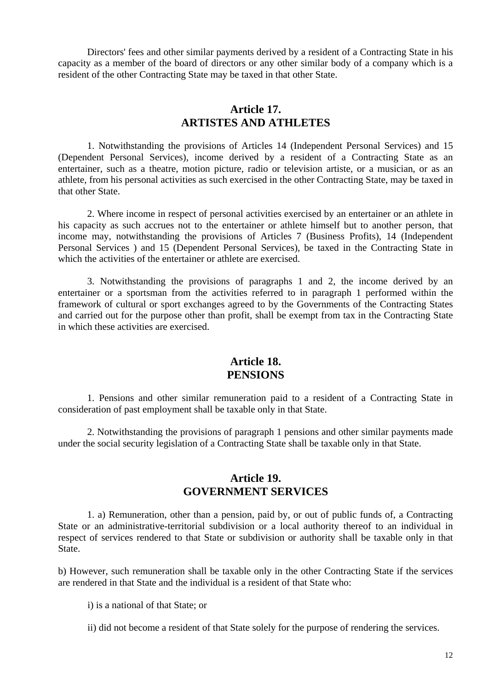Directors' fees and other similar payments derived by a resident of a Contracting State in his capacity as a member of the board of directors or any other similar body of a company which is a resident of the other Contracting State may be taxed in that other State.

#### **Article 17. ARTISTES AND ATHLETES**

1. Notwithstanding the provisions of Articles 14 (Independent Personal Services) and 15 (Dependent Personal Services), income derived by a resident of a Contracting State as an entertainer, such as a theatre, motion picture, radio or television artiste, or a musician, or as an athlete, from his personal activities as such exercised in the other Contracting State, may be taxed in that other State.

2. Where income in respect of personal activities exercised by an entertainer or an athlete in his capacity as such accrues not to the entertainer or athlete himself but to another person, that income may, notwithstanding the provisions of Articles 7 (Business Profits), 14 (Independent Personal Services ) and 15 (Dependent Personal Services), be taxed in the Contracting State in which the activities of the entertainer or athlete are exercised.

3. Notwithstanding the provisions of paragraphs 1 and 2, the income derived by an entertainer or a sportsman from the activities referred to in paragraph 1 performed within the framework of cultural or sport exchanges agreed to by the Governments of the Contracting States and carried out for the purpose other than profit, shall be exempt from tax in the Contracting State in which these activities are exercised.

#### **Article 18. PENSIONS**

1. Pensions and other similar remuneration paid to a resident of a Contracting State in consideration of past employment shall be taxable only in that State.

2. Notwithstanding the provisions of paragraph 1 pensions and other similar payments made under the social security legislation of a Contracting State shall be taxable only in that State.

#### **Article 19. GOVERNMENT SERVICES**

1. a) Remuneration, other than a pension, paid by, or out of public funds of, a Contracting State or an administrative-territorial subdivision or a local authority thereof to an individual in respect of services rendered to that State or subdivision or authority shall be taxable only in that State.

b) However, such remuneration shall be taxable only in the other Contracting State if the services are rendered in that State and the individual is a resident of that State who:

i) is a national of that State; or

ii) did not become a resident of that State solely for the purpose of rendering the services.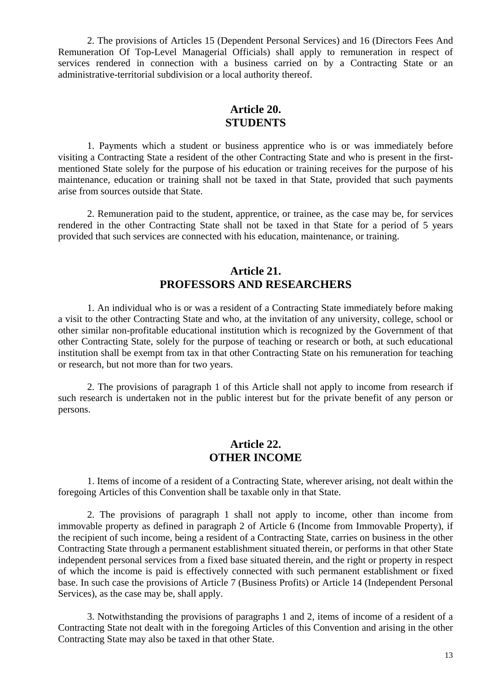2. The provisions of Articles 15 (Dependent Personal Services) and 16 (Directors Fees And Remuneration Of Top-Level Managerial Officials) shall apply to remuneration in respect of services rendered in connection with a business carried on by a Contracting State or an administrative-territorial subdivision or a local authority thereof.

#### **Article 20. STUDENTS**

1. Payments which a student or business apprentice who is or was immediately before visiting a Contracting State a resident of the other Contracting State and who is present in the firstmentioned State solely for the purpose of his education or training receives for the purpose of his maintenance, education or training shall not be taxed in that State, provided that such payments arise from sources outside that State.

2. Remuneration paid to the student, apprentice, or trainee, as the case may be, for services rendered in the other Contracting State shall not be taxed in that State for a period of 5 years provided that such services are connected with his education, maintenance, or training.

## **Article 21. PROFESSORS AND RESEARCHERS**

1. An individual who is or was a resident of a Contracting State immediately before making a visit to the other Contracting State and who, at the invitation of any university, college, school or other similar non-profitable educational institution which is recognized by the Government of that other Contracting State, solely for the purpose of teaching or research or both, at such educational institution shall be exempt from tax in that other Contracting State on his remuneration for teaching or research, but not more than for two years.

2. The provisions of paragraph 1 of this Article shall not apply to income from research if such research is undertaken not in the public interest but for the private benefit of any person or persons.

## **Article 22. OTHER INCOME**

1. Items of income of a resident of a Contracting State, wherever arising, not dealt within the foregoing Articles of this Convention shall be taxable only in that State.

2. The provisions of paragraph 1 shall not apply to income, other than income from immovable property as defined in paragraph 2 of Article 6 (Income from Immovable Property), if the recipient of such income, being a resident of a Contracting State, carries on business in the other Contracting State through a permanent establishment situated therein, or performs in that other State independent personal services from a fixed base situated therein, and the right or property in respect of which the income is paid is effectively connected with such permanent establishment or fixed base. In such case the provisions of Article 7 (Business Profits) or Article 14 (Independent Personal Services), as the case may be, shall apply.

3. Notwithstanding the provisions of paragraphs 1 and 2, items of income of a resident of a Contracting State not dealt with in the foregoing Articles of this Convention and arising in the other Contracting State may also be taxed in that other State.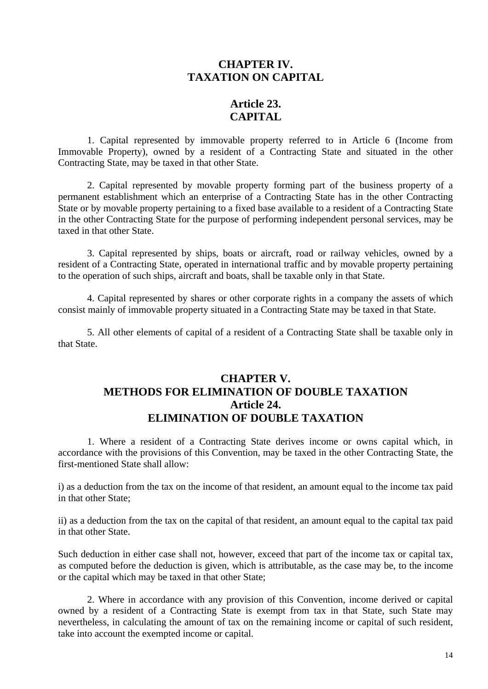#### **CHAPTER IV. TAXATION ON CAPITAL**

# **Article 23. CAPITAL**

1. Capital represented by immovable property referred to in Article 6 (Income from Immovable Property), owned by a resident of a Contracting State and situated in the other Contracting State, may be taxed in that other State.

2. Capital represented by movable property forming part of the business property of a permanent establishment which an enterprise of a Contracting State has in the other Contracting State or by movable property pertaining to a fixed base available to a resident of a Contracting State in the other Contracting State for the purpose of performing independent personal services, may be taxed in that other State.

3. Capital represented by ships, boats or aircraft, road or railway vehicles, owned by a resident of a Contracting State, operated in international traffic and by movable property pertaining to the operation of such ships, aircraft and boats, shall be taxable only in that State.

4. Capital represented by shares or other corporate rights in a company the assets of which consist mainly of immovable property situated in a Contracting State may be taxed in that State.

5. All other elements of capital of a resident of a Contracting State shall be taxable only in that State.

# **CHAPTER V. METHODS FOR ELIMINATION OF DOUBLE TAXATION Article 24. ELIMINATION OF DOUBLE TAXATION**

1. Where a resident of a Contracting State derives income or owns capital which, in accordance with the provisions of this Convention, may be taxed in the other Contracting State, the first-mentioned State shall allow:

i) as a deduction from the tax on the income of that resident, an amount equal to the income tax paid in that other State;

ii) as a deduction from the tax on the capital of that resident, an amount equal to the capital tax paid in that other State.

Such deduction in either case shall not, however, exceed that part of the income tax or capital tax, as computed before the deduction is given, which is attributable, as the case may be, to the income or the capital which may be taxed in that other State;

2. Where in accordance with any provision of this Convention, income derived or capital owned by a resident of a Contracting State is exempt from tax in that State, such State may nevertheless, in calculating the amount of tax on the remaining income or capital of such resident, take into account the exempted income or capital.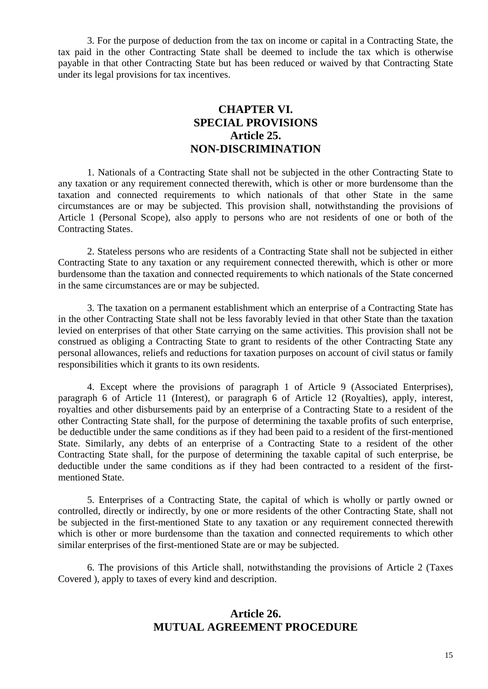3. For the purpose of deduction from the tax on income or capital in a Contracting State, the tax paid in the other Contracting State shall be deemed to include the tax which is otherwise payable in that other Contracting State but has been reduced or waived by that Contracting State under its legal provisions for tax incentives.

## **CHAPTER VI. SPECIAL PROVISIONS Article 25. NON-DISCRIMINATION**

1. Nationals of a Contracting State shall not be subjected in the other Contracting State to any taxation or any requirement connected therewith, which is other or more burdensome than the taxation and connected requirements to which nationals of that other State in the same circumstances are or may be subjected. This provision shall, notwithstanding the provisions of Article 1 (Personal Scope), also apply to persons who are not residents of one or both of the Contracting States.

2. Stateless persons who are residents of a Contracting State shall not be subjected in either Contracting State to any taxation or any requirement connected therewith, which is other or more burdensome than the taxation and connected requirements to which nationals of the State concerned in the same circumstances are or may be subjected.

3. The taxation on a permanent establishment which an enterprise of a Contracting State has in the other Contracting State shall not be less favorably levied in that other State than the taxation levied on enterprises of that other State carrying on the same activities. This provision shall not be construed as obliging a Contracting State to grant to residents of the other Contracting State any personal allowances, reliefs and reductions for taxation purposes on account of civil status or family responsibilities which it grants to its own residents.

4. Except where the provisions of paragraph 1 of Article 9 (Associated Enterprises), paragraph 6 of Article 11 (Interest), or paragraph 6 of Article 12 (Royalties), apply, interest, royalties and other disbursements paid by an enterprise of a Contracting State to a resident of the other Contracting State shall, for the purpose of determining the taxable profits of such enterprise, be deductible under the same conditions as if they had been paid to a resident of the first-mentioned State. Similarly, any debts of an enterprise of a Contracting State to a resident of the other Contracting State shall, for the purpose of determining the taxable capital of such enterprise, be deductible under the same conditions as if they had been contracted to a resident of the firstmentioned State.

5. Enterprises of a Contracting State, the capital of which is wholly or partly owned or controlled, directly or indirectly, by one or more residents of the other Contracting State, shall not be subjected in the first-mentioned State to any taxation or any requirement connected therewith which is other or more burdensome than the taxation and connected requirements to which other similar enterprises of the first-mentioned State are or may be subjected.

6. The provisions of this Article shall, notwithstanding the provisions of Article 2 (Taxes Covered ), apply to taxes of every kind and description.

## **Article 26. MUTUAL AGREEMENT PROCEDURE**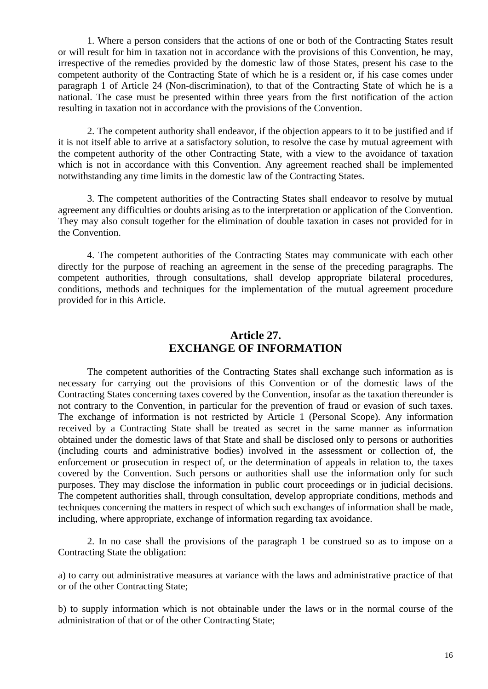1. Where a person considers that the actions of one or both of the Contracting States result or will result for him in taxation not in accordance with the provisions of this Convention, he may, irrespective of the remedies provided by the domestic law of those States, present his case to the competent authority of the Contracting State of which he is a resident or, if his case comes under paragraph 1 of Article 24 (Non-discrimination), to that of the Contracting State of which he is a national. The case must be presented within three years from the first notification of the action resulting in taxation not in accordance with the provisions of the Convention.

2. The competent authority shall endeavor, if the objection appears to it to be justified and if it is not itself able to arrive at a satisfactory solution, to resolve the case by mutual agreement with the competent authority of the other Contracting State, with a view to the avoidance of taxation which is not in accordance with this Convention. Any agreement reached shall be implemented notwithstanding any time limits in the domestic law of the Contracting States.

3. The competent authorities of the Contracting States shall endeavor to resolve by mutual agreement any difficulties or doubts arising as to the interpretation or application of the Convention. They may also consult together for the elimination of double taxation in cases not provided for in the Convention.

4. The competent authorities of the Contracting States may communicate with each other directly for the purpose of reaching an agreement in the sense of the preceding paragraphs. The competent authorities, through consultations, shall develop appropriate bilateral procedures, conditions, methods and techniques for the implementation of the mutual agreement procedure provided for in this Article.

# **Article 27. EXCHANGE OF INFORMATION**

The competent authorities of the Contracting States shall exchange such information as is necessary for carrying out the provisions of this Convention or of the domestic laws of the Contracting States concerning taxes covered by the Convention, insofar as the taxation thereunder is not contrary to the Convention, in particular for the prevention of fraud or evasion of such taxes. The exchange of information is not restricted by Article 1 (Personal Scope). Any information received by a Contracting State shall be treated as secret in the same manner as information obtained under the domestic laws of that State and shall be disclosed only to persons or authorities (including courts and administrative bodies) involved in the assessment or collection of, the enforcement or prosecution in respect of, or the determination of appeals in relation to, the taxes covered by the Convention. Such persons or authorities shall use the information only for such purposes. They may disclose the information in public court proceedings or in judicial decisions. The competent authorities shall, through consultation, develop appropriate conditions, methods and techniques concerning the matters in respect of which such exchanges of information shall be made, including, where appropriate, exchange of information regarding tax avoidance.

2. In no case shall the provisions of the paragraph 1 be construed so as to impose on a Contracting State the obligation:

a) to carry out administrative measures at variance with the laws and administrative practice of that or of the other Contracting State;

b) to supply information which is not obtainable under the laws or in the normal course of the administration of that or of the other Contracting State;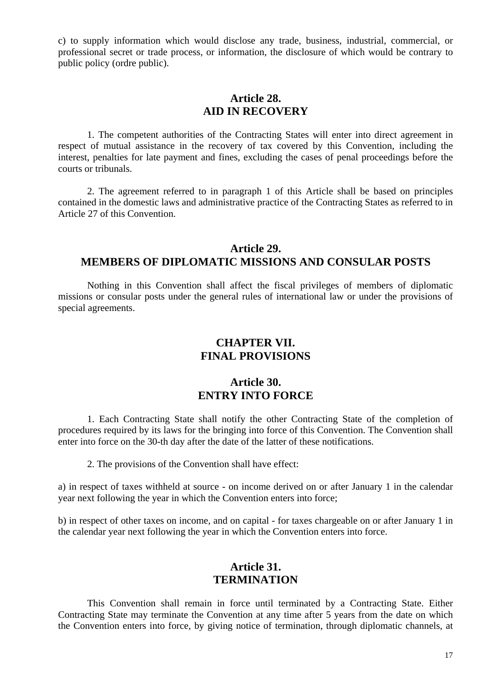c) to supply information which would disclose any trade, business, industrial, commercial, or professional secret or trade process, or information, the disclosure of which would be contrary to public policy (ordre public).

## **Article 28. AID IN RECOVERY**

1. The competent authorities of the Contracting States will enter into direct agreement in respect of mutual assistance in the recovery of tax covered by this Convention, including the interest, penalties for late payment and fines, excluding the cases of penal proceedings before the courts or tribunals.

2. The agreement referred to in paragraph 1 of this Article shall be based on principles contained in the domestic laws and administrative practice of the Contracting States as referred to in Article 27 of this Convention.

#### **Article 29. MEMBERS OF DIPLOMATIC MISSIONS AND CONSULAR POSTS**

Nothing in this Convention shall affect the fiscal privileges of members of diplomatic missions or consular posts under the general rules of international law or under the provisions of special agreements.

## **CHAPTER VII. FINAL PROVISIONS**

## **Article 30. ENTRY INTO FORCE**

1. Each Contracting State shall notify the other Contracting State of the completion of procedures required by its laws for the bringing into force of this Convention. The Convention shall enter into force on the 30-th day after the date of the latter of these notifications.

2. The provisions of the Convention shall have effect:

a) in respect of taxes withheld at source - on income derived on or after January 1 in the calendar year next following the year in which the Convention enters into force;

b) in respect of other taxes on income, and on capital - for taxes chargeable on or after January 1 in the calendar year next following the year in which the Convention enters into force.

## **Article 31. TERMINATION**

This Convention shall remain in force until terminated by a Contracting State. Either Contracting State may terminate the Convention at any time after 5 years from the date on which the Convention enters into force, by giving notice of termination, through diplomatic channels, at